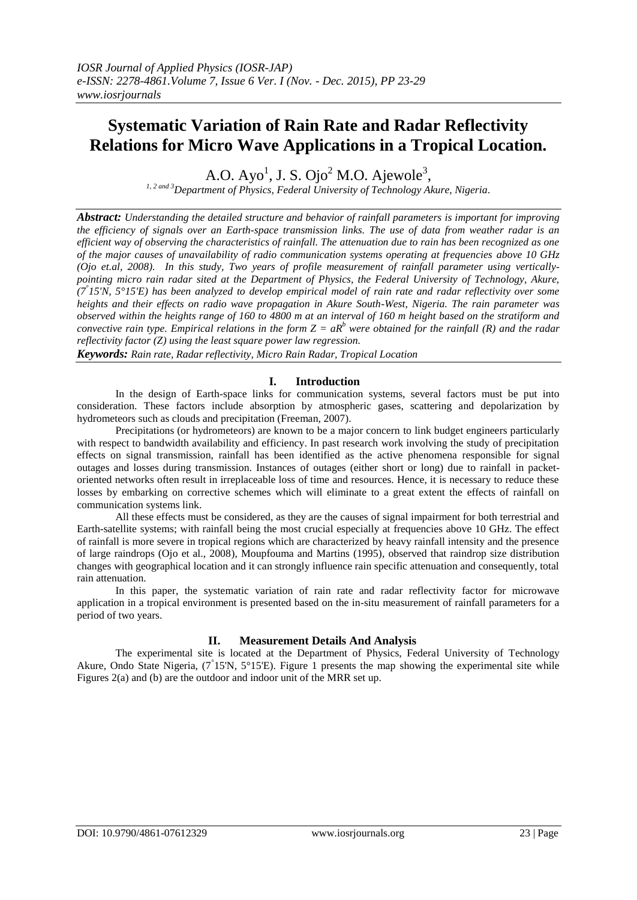# **Systematic Variation of Rain Rate and Radar Reflectivity Relations for Micro Wave Applications in a Tropical Location.**

A.O. Ayo $^1$ , J. S. Ojo $^2$  M.O. Ajewole $^3,$ 

*1, 2 and 3Department of Physics, Federal University of Technology Akure, Nigeria.*

*Abstract: Understanding the detailed structure and behavior of rainfall parameters is important for improving the efficiency of signals over an Earth-space transmission links. The use of data from weather radar is an efficient way of observing the characteristics of rainfall. The attenuation due to rain has been recognized as one of the major causes of unavailability of radio communication systems operating at frequencies above 10 GHz (Ojo et.al, 2008). In this study, Two years of profile measurement of rainfall parameter using verticallypointing micro rain radar sited at the Department of Physics, the Federal University of Technology, Akure, (7° 15'N, 5°15'E) has been analyzed to develop empirical model of rain rate and radar reflectivity over some heights and their effects on radio wave propagation in Akure South-West, Nigeria. The rain parameter was observed within the heights range of 160 to 4800 m at an interval of 160 m height based on the stratiform and convective rain type. Empirical relations in the form*  $Z = aR^b$  *were obtained for the rainfall (R) and the radar reflectivity factor (Z) using the least square power law regression.*

*Keywords: Rain rate, Radar reflectivity, Micro Rain Radar, Tropical Location* 

### **I. Introduction**

In the design of Earth-space links for communication systems, several factors must be put into consideration. These factors include absorption by atmospheric gases, scattering and depolarization by hydrometeors such as clouds and precipitation (Freeman, 2007).

Precipitations (or hydrometeors) are known to be a major concern to link budget engineers particularly with respect to bandwidth availability and efficiency. In past research work involving the study of precipitation effects on signal transmission, rainfall has been identified as the active phenomena responsible for signal outages and losses during transmission. Instances of outages (either short or long) due to rainfall in packetoriented networks often result in irreplaceable loss of time and resources. Hence, it is necessary to reduce these losses by embarking on corrective schemes which will eliminate to a great extent the effects of rainfall on communication systems link.

All these effects must be considered, as they are the causes of signal impairment for both terrestrial and Earth-satellite systems; with rainfall being the most crucial especially at frequencies above 10 GHz. The effect of rainfall is more severe in tropical regions which are characterized by heavy rainfall intensity and the presence of large raindrops (Ojo et al., 2008), Moupfouma and Martins (1995), observed that raindrop size distribution changes with geographical location and it can strongly influence rain specific attenuation and consequently, total rain attenuation.

In this paper, the systematic variation of rain rate and radar reflectivity factor for microwave application in a tropical environment is presented based on the in-situ measurement of rainfall parameters for a period of two years.

#### **II. Measurement Details And Analysis**

The experimental site is located at the Department of Physics, Federal University of Technology Akure, Ondo State Nigeria, (7<sup>°</sup>15'N, 5°15'E). Figure 1 presents the map showing the experimental site while Figures 2(a) and (b) are the outdoor and indoor unit of the MRR set up.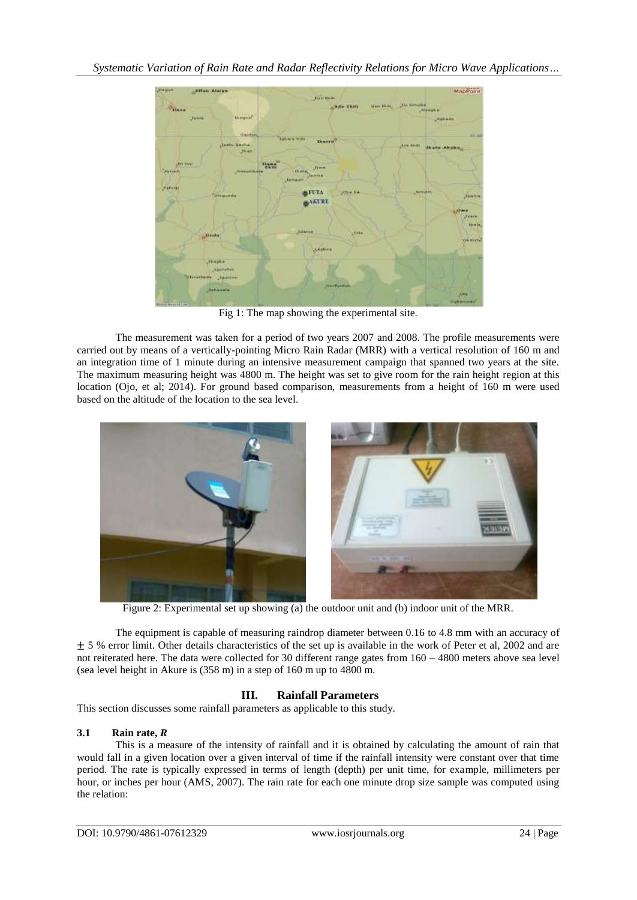

Fig 1: The map showing the experimental site.

The measurement was taken for a period of two years 2007 and 2008. The profile measurements were carried out by means of a vertically-pointing Micro Rain Radar (MRR) with a vertical resolution of 160 m and an integration time of 1 minute during an intensive measurement campaign that spanned two years at the site. The maximum measuring height was 4800 m. The height was set to give room for the rain height region at this location (Ojo, et al; 2014). For ground based comparison, measurements from a height of 160 m were used based on the altitude of the location to the sea level.



Figure 2: Experimental set up showing (a) the outdoor unit and (b) indoor unit of the MRR.

The equipment is capable of measuring raindrop diameter between 0.16 to 4.8 mm with an accuracy of  $\pm$  5 % error limit. Other details characteristics of the set up is available in the work of Peter et al, 2002 and are not reiterated here. The data were collected for 30 different range gates from 160 – 4800 meters above sea level (sea level height in Akure is (358 m) in a step of 160 m up to 4800 m.

# **III. Rainfall Parameters**

This section discusses some rainfall parameters as applicable to this study.

# **3.1 Rain rate,** *R*

This is a measure of the intensity of rainfall and it is obtained by calculating the amount of rain that would fall in a given location over a given interval of time if the rainfall intensity were constant over that time period. The rate is typically expressed in terms of length (depth) per unit time, for example, millimeters per hour, or inches per hour (AMS, 2007). The rain rate for each one minute drop size sample was computed using the relation: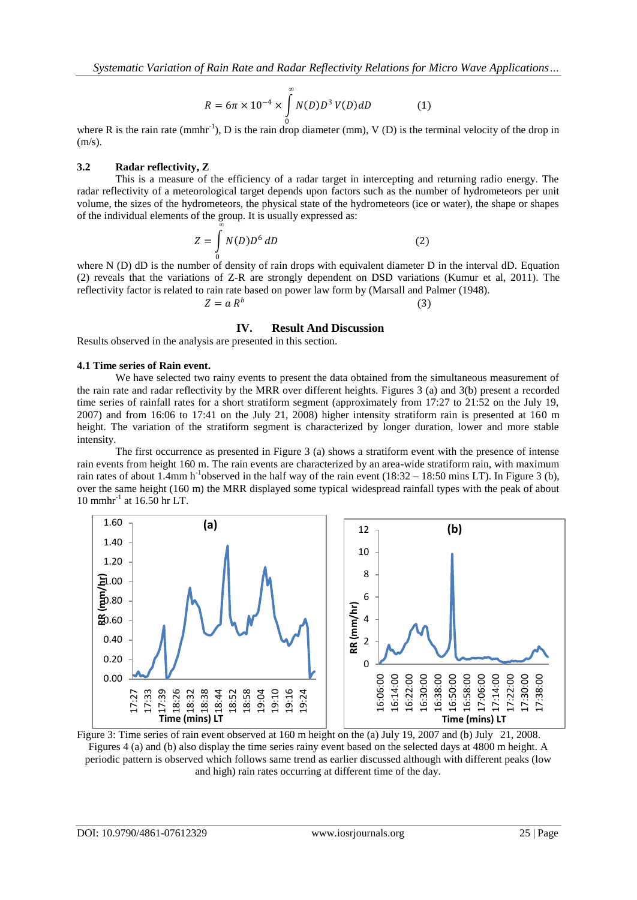$$
R = 6\pi \times 10^{-4} \times \int_{0}^{\infty} N(D)D^{3} V(D) dD
$$
 (1)

where R is the rain rate (mmhr<sup>-1</sup>), D is the rain drop diameter (mm), V (D) is the terminal velocity of the drop in  $(m/s)$ .

#### **3.2 Radar reflectivity, Z**

This is a measure of the efficiency of a radar target in intercepting and returning radio energy. The radar reflectivity of a meteorological target depends upon factors such as the number of hydrometeors per unit volume, the sizes of the hydrometeors, the physical state of the hydrometeors (ice or water), the shape or shapes of the individual elements of the group. It is usually expressed as:

$$
Z = \int_{0}^{\infty} N(D)D^6 dD
$$
 (2)

where N (D) dD is the number of density of rain drops with equivalent diameter D in the interval dD. Equation (2) reveals that the variations of Z-R are strongly dependent on DSD variations (Kumur et al, 2011). The reflectivity factor is related to rain rate based on power law form by (Marsall and Palmer (1948).

$$
Z = a R^b \tag{3}
$$

#### **IV. Result And Discussion**

Results observed in the analysis are presented in this section.

#### **4.1 Time series of Rain event.**

We have selected two rainy events to present the data obtained from the simultaneous measurement of the rain rate and radar reflectivity by the MRR over different heights. Figures 3 (a) and 3(b) present a recorded time series of rainfall rates for a short stratiform segment (approximately from 17:27 to 21:52 on the July 19, 2007) and from 16:06 to 17:41 on the July 21, 2008) higher intensity stratiform rain is presented at 160 m height. The variation of the stratiform segment is characterized by longer duration, lower and more stable intensity.

The first occurrence as presented in Figure 3 (a) shows a stratiform event with the presence of intense rain events from height 160 m. The rain events are characterized by an area-wide stratiform rain, with maximum rain rates of about 1.4mm h<sup>-1</sup>observed in the half way of the rain event  $(18:32 - 18:50 \text{ mins LT})$ . In Figure 3 (b), over the same height (160 m) the MRR displayed some typical widespread rainfall types with the peak of about 10 mmhr-1 at 16.50 hr LT.



Figure 3: Time series of rain event observed at 160 m height on the (a) July 19, 2007 and (b) July 21, 2008. Figures 4 (a) and (b) also display the time series rainy event based on the selected days at 4800 m height. A periodic pattern is observed which follows same trend as earlier discussed although with different peaks (low and high) rain rates occurring at different time of the day.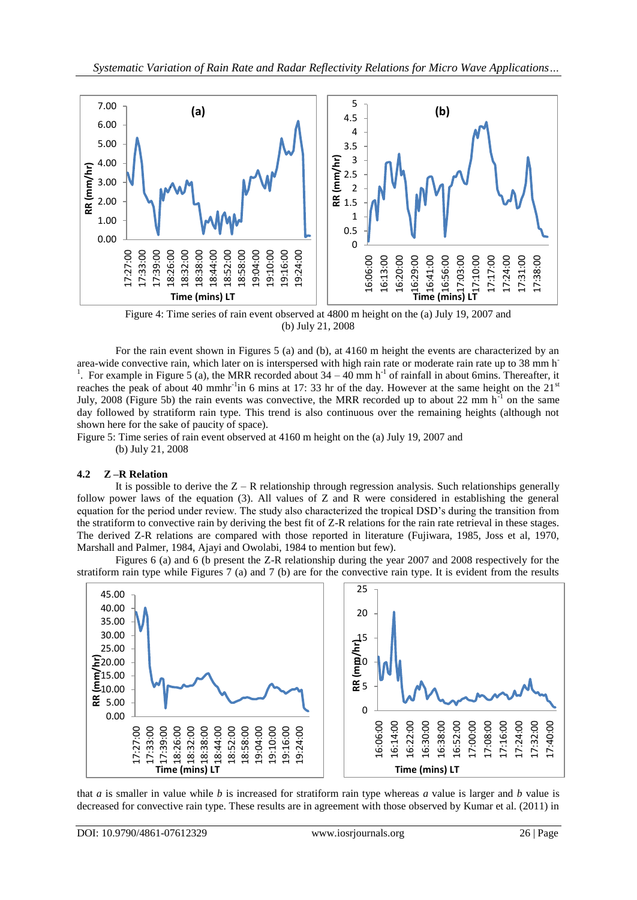

Figure 4: Time series of rain event observed at 4800 m height on the (a) July 19, 2007 and (b) July 21, 2008

For the rain event shown in Figures 5 (a) and (b), at 4160 m height the events are characterized by an area-wide convective rain, which later on is interspersed with high rain rate or moderate rain rate up to 38 mm h-<sup>1</sup>. For example in Figure 5 (a), the MRR recorded about  $34 - 40$  mm h<sup>-1</sup> of rainfall in about 6mins. Thereafter, it reaches the peak of about 40 mmhr<sup>-1</sup>in 6 mins at 17: 33 hr of the day. However at the same height on the  $21<sup>st</sup>$ July, 2008 (Figure 5b) the rain events was convective, the MRR recorded up to about 22 mm  $h^{-1}$  on the same day followed by stratiform rain type. This trend is also continuous over the remaining heights (although not shown here for the sake of paucity of space).

Figure 5: Time series of rain event observed at 4160 m height on the (a) July 19, 2007 and (b) July 21, 2008

## **4.2 Z –R Relation**

It is possible to derive the  $Z - R$  relationship through regression analysis. Such relationships generally follow power laws of the equation (3). All values of Z and R were considered in establishing the general equation for the period under review. The study also characterized the tropical DSD's during the transition from the stratiform to convective rain by deriving the best fit of Z-R relations for the rain rate retrieval in these stages. The derived Z-R relations are compared with those reported in literature (Fujiwara, 1985, Joss et al, 1970, Marshall and Palmer, 1984, Ajayi and Owolabi, 1984 to mention but few).

Figures 6 (a) and 6 (b present the Z-R relationship during the year 2007 and 2008 respectively for the stratiform rain type while Figures 7 (a) and 7 (b) are for the convective rain type. It is evident from the results



that *a* is smaller in value while *b* is increased for stratiform rain type whereas *a* value is larger and *b* value is decreased for convective rain type. These results are in agreement with those observed by Kumar et al. (2011) in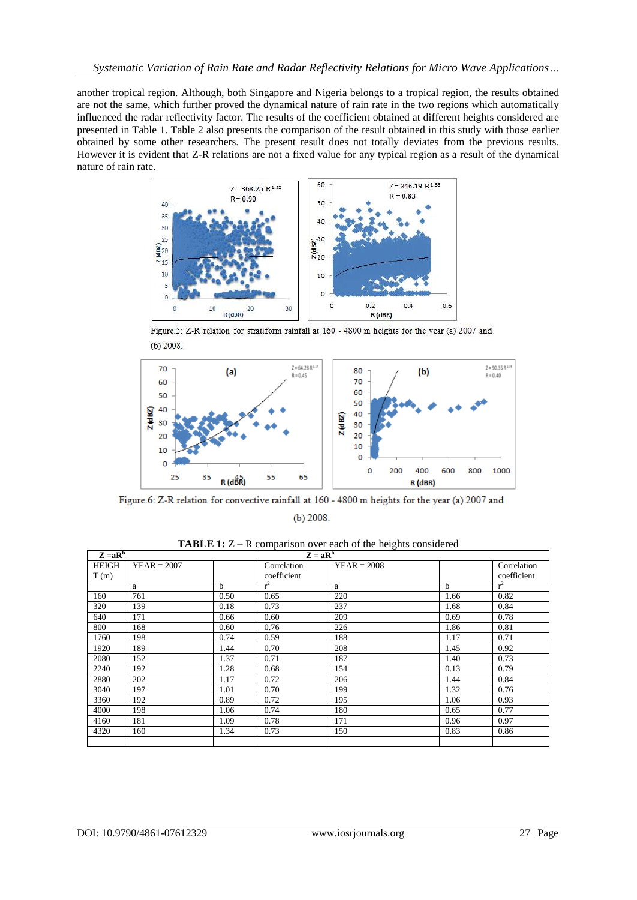another tropical region. Although, both Singapore and Nigeria belongs to a tropical region, the results obtained are not the same, which further proved the dynamical nature of rain rate in the two regions which automatically influenced the radar reflectivity factor. The results of the coefficient obtained at different heights considered are presented in Table 1. Table 2 also presents the comparison of the result obtained in this study with those earlier obtained by some other researchers. The present result does not totally deviates from the previous results. However it is evident that Z-R relations are not a fixed value for any typical region as a result of the dynamical nature of rain rate.



Figure.5: Z-R relation for stratiform rainfall at 160 - 4800 m heights for the year (a) 2007 and  $(b)$  2008.



Figure.6: Z-R relation for convective rainfall at 160 - 4800 m heights for the year (a) 2007 and  $(b)$  2008.

|  | <b>TABLE 1:</b> $Z - R$ comparison over each of the heights considered |
|--|------------------------------------------------------------------------|
|--|------------------------------------------------------------------------|

| $Z = aRb$ |               |             | $Z = aRb$   |               |             |             |
|-----------|---------------|-------------|-------------|---------------|-------------|-------------|
| HEIGH     | $YEAR = 2007$ |             | Correlation | $YEAR = 2008$ |             | Correlation |
| T(m)      |               |             | coefficient |               |             | coefficient |
|           | a             | $\mathbf b$ | $r^2$       | a             | $\mathbf b$ | $r^2$       |
| 160       | 761           | 0.50        | 0.65        | 220           | 1.66        | 0.82        |
| 320       | 139           | 0.18        | 0.73        | 237           | 1.68        | 0.84        |
| 640       | 171           | 0.66        | 0.60        | 209           | 0.69        | 0.78        |
| 800       | 168           | 0.60        | 0.76        | 226           | 1.86        | 0.81        |
| 1760      | 198           | 0.74        | 0.59        | 188           | 1.17        | 0.71        |
| 1920      | 189           | 1.44        | 0.70        | 208           | 1.45        | 0.92        |
| 2080      | 152           | 1.37        | 0.71        | 187           | 1.40        | 0.73        |
| 2240      | 192           | 1.28        | 0.68        | 154           | 0.13        | 0.79        |
| 2880      | 202           | 1.17        | 0.72        | 206           | 1.44        | 0.84        |
| 3040      | 197           | 1.01        | 0.70        | 199           | 1.32        | 0.76        |
| 3360      | 192           | 0.89        | 0.72        | 195           | 1.06        | 0.93        |
| 4000      | 198           | 1.06        | 0.74        | 180           | 0.65        | 0.77        |
| 4160      | 181           | 1.09        | 0.78        | 171           | 0.96        | 0.97        |
| 4320      | 160           | 1.34        | 0.73        | 150           | 0.83        | 0.86        |
|           |               |             |             |               |             |             |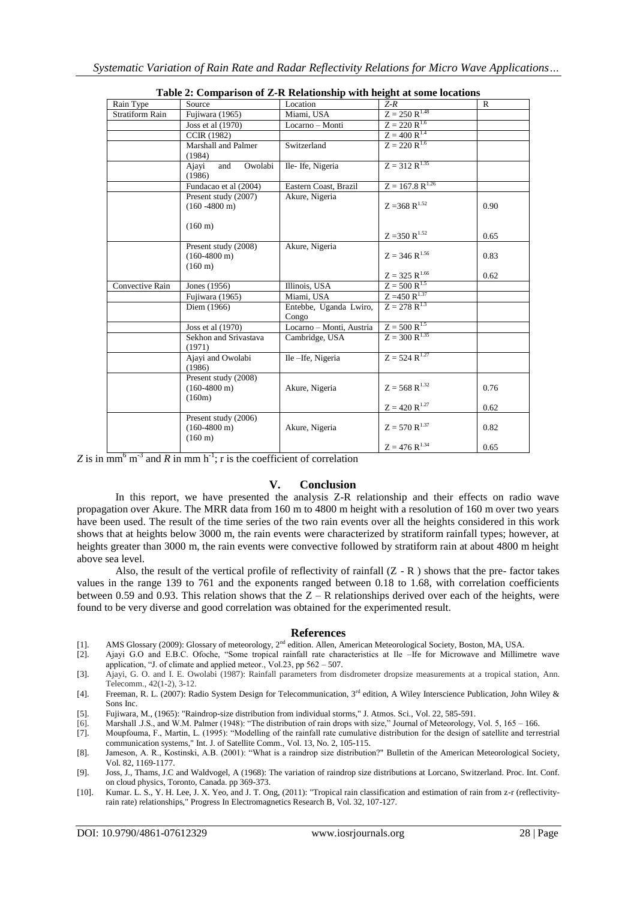| <b>Table 2. Comparison of Z-K Kelationship with neight at some locations</b> |                                                                     |                                 |                             |              |  |  |  |
|------------------------------------------------------------------------------|---------------------------------------------------------------------|---------------------------------|-----------------------------|--------------|--|--|--|
| Rain Type                                                                    | Source                                                              | Location                        | $Z-R$                       | $\mathbb{R}$ |  |  |  |
| <b>Stratiform Rain</b>                                                       | Fujiwara (1965)                                                     | Miami, USA                      | $Z = 250 R^{1.48}$          |              |  |  |  |
|                                                                              | Joss et al (1970)                                                   | Locarno - Monti                 | $Z = 220 R^{1.6}$           |              |  |  |  |
|                                                                              | <b>CCIR (1982)</b>                                                  |                                 | $Z = 400 R^{1.4}$           |              |  |  |  |
|                                                                              | Marshall and Palmer<br>(1984)                                       | Switzerland                     | $Z = 220 R^{1.6}$           |              |  |  |  |
|                                                                              | Owolabi<br>Ajayi<br>and<br>(1986)                                   | Ile-Ife, Nigeria                | $Z = 312 R^{1.35}$          |              |  |  |  |
|                                                                              | Fundacao et al (2004)                                               | Eastern Coast, Brazil           | $Z = 167.8 R^{1.26}$        |              |  |  |  |
|                                                                              | Present study (2007)<br>$(160 - 4800)$ m)                           | Akure, Nigeria                  | $Z = 368$ R <sup>1.52</sup> | 0.90         |  |  |  |
|                                                                              | $(160 \text{ m})$                                                   |                                 | $Z = 350 R^{1.52}$          | 0.65         |  |  |  |
|                                                                              | Present study (2008)<br>$(160-4800 \text{ m})$<br>$(160 \text{ m})$ | Akure, Nigeria                  | $Z = 346 R^{1.56}$          | 0.83         |  |  |  |
|                                                                              |                                                                     |                                 | $Z = 325 R^{1.66}$          | 0.62         |  |  |  |
| Convective Rain                                                              | Jones (1956)                                                        | Illinois, USA                   | $Z = 500 R^{1.5}$           |              |  |  |  |
|                                                                              | Fujiwara (1965)                                                     | Miami, USA                      | $Z = 450 R^{1.37}$          |              |  |  |  |
|                                                                              | Diem (1966)                                                         | Entebbe, Uganda Lwiro,<br>Congo | $Z = 278 R^{1.3}$           |              |  |  |  |
|                                                                              | Joss et al (1970)                                                   | Locarno - Monti, Austria        | $Z = 500 R^{1.5}$           |              |  |  |  |
|                                                                              | Sekhon and Srivastava<br>(1971)                                     | Cambridge, USA                  | $Z = 300 R^{1.35}$          |              |  |  |  |
|                                                                              | Ajayi and Owolabi<br>(1986)                                         | Ile-Ife, Nigeria                | $Z = 524 R^{1.27}$          |              |  |  |  |
|                                                                              | Present study (2008)<br>$(160-4800 \text{ m})$<br>(160m)            | Akure, Nigeria                  | $Z = 568$ R <sup>1.32</sup> | 0.76         |  |  |  |
|                                                                              |                                                                     |                                 | $Z = 420 R^{1.27}$          | 0.62         |  |  |  |
|                                                                              | Present study (2006)<br>$(160-4800 \text{ m})$<br>$(160 \text{ m})$ | Akure, Nigeria                  | $Z = 570 R^{1.37}$          | 0.82         |  |  |  |
|                                                                              |                                                                     |                                 | $Z = 476 R^{1.34}$          | 0.65         |  |  |  |

Z is in  $\overline{mm}^6$   $\overline{m}^3$  and R in mm h<sup>-1</sup>; r is the coefficient of correlation

### **V. Conclusion**

In this report, we have presented the analysis Z-R relationship and their effects on radio wave propagation over Akure. The MRR data from 160 m to 4800 m height with a resolution of 160 m over two years have been used. The result of the time series of the two rain events over all the heights considered in this work shows that at heights below 3000 m, the rain events were characterized by stratiform rainfall types; however, at heights greater than 3000 m, the rain events were convective followed by stratiform rain at about 4800 m height above sea level.

Also, the result of the vertical profile of reflectivity of rainfall (Z - R ) shows that the pre- factor takes values in the range 139 to 761 and the exponents ranged between 0.18 to 1.68, with correlation coefficients between 0.59 and 0.93. This relation shows that the  $Z - R$  relationships derived over each of the heights, were found to be very diverse and good correlation was obtained for the experimented result.

#### **References**

- [1]. AMS Glossary (2009): Glossary of meteorology,  $2<sup>nd</sup>$  edition. Allen, American Meteorological Society, Boston, MA, USA. [2]. Ajavi G.O and E.B.C. Of oche, "Some tropical rainfall rate characteristics at Ile Ife
- [2]. Ajayi G.O and E.B.C. Ofoche, "Some tropical rainfall rate characteristics at Ile –Ife for Microwave and Millimetre wave application, "J. of climate and applied meteor., Vol.23, pp 562 – 507.
- [3]. Ajayi, G. O. and I. E. Owolabi (1987): Rainfall parameters from disdrometer dropsize measurements at a tropical station, Ann. Telecomm., 42(1-2), 3-12.
- [4]. Freeman, R. L. (2007): Radio System Design for Telecommunication, 3<sup>rd</sup> edition, A Wiley Interscience Publication, John Wiley & Sons Inc.
- [5]. Fujiwara, M., (1965): "Raindrop-size distribution from individual storms," J. Atmos. Sci., Vol. 22, 585-591.
- Marshall J.S., and W.M. Palmer (1948): "The distribution of rain drops with size," Journal of Meteorology, Vol. 5, 165 166.
- [7]. Moupfouma, F., Martin, L. (1995): "Modelling of the rainfall rate cumulative distribution for the design of satellite and terrestrial communication systems," Int. J. of Satellite Comm., Vol. 13, No. 2, 105-115.
- [8]. Jameson, A. R., Kostinski, A.B. (2001): "What is a raindrop size distribution?" Bulletin of the American Meteorological Society, Vol. 82, 1169-1177.
- [9]. Joss, J., Thams, J.C and Waldvogel, A (1968): The variation of raindrop size distributions at Lorcano, Switzerland. Proc. Int. Conf. on cloud physics, Toronto, Canada. pp 369-373.
- [10]. Kumar. L. S., Y. H. Lee, J. X. Yeo, and J. T. Ong, (2011): "Tropical rain classification and estimation of rain from z-r (reflectivityrain rate) relationships," Progress In Electromagnetics Research B, Vol. 32, 107-127.